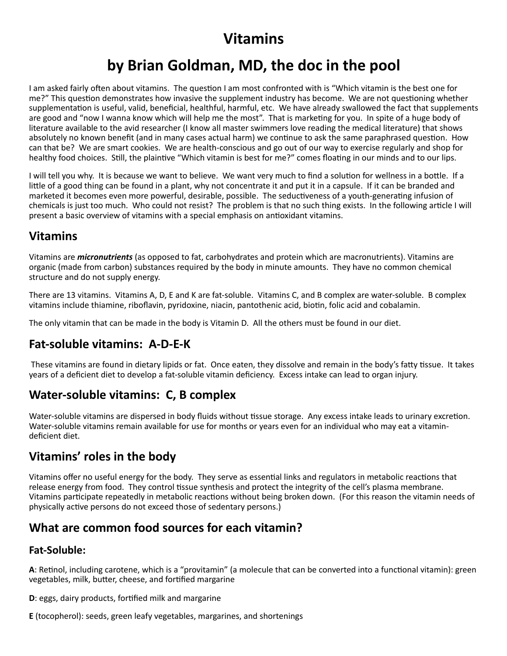# **Vitamins**

# **by Brian Goldman, MD, the doc in the pool**

I am asked fairly often about vitamins. The question I am most confronted with is "Which vitamin is the best one for me?" This question demonstrates how invasive the supplement industry has become. We are not questioning whether supplementation is useful, valid, beneficial, healthful, harmful, etc. We have already swallowed the fact that supplements are good and "now I wanna know which will help me the most". That is marketing for you. In spite of a huge body of literature available to the avid researcher (I know all master swimmers love reading the medical literature) that shows absolutely no known benefit (and in many cases actual harm) we continue to ask the same paraphrased question. How can that be? We are smart cookies. We are health-conscious and go out of our way to exercise regularly and shop for healthy food choices. Still, the plaintive "Which vitamin is best for me?" comes floating in our minds and to our lips.

I will tell you why. It is because we want to believe. We want very much to find a solution for wellness in a bottle. If a little of a good thing can be found in a plant, why not concentrate it and put it in a capsule. If it can be branded and marketed it becomes even more powerful, desirable, possible. The seductiveness of a youth-generating infusion of chemicals is just too much. Who could not resist? The problem is that no such thing exists. In the following article I will present a basic overview of vitamins with a special emphasis on antioxidant vitamins.

# **Vitamins**

Vitamins are *micronutrients* (as opposed to fat, carbohydrates and protein which are macronutrients). Vitamins are organic (made from carbon) substances required by the body in minute amounts. They have no common chemical structure and do not supply energy.

There are 13 vitamins. Vitamins A, D, E and K are fat-soluble. Vitamins C, and B complex are water-soluble. B complex vitamins include thiamine, riboflavin, pyridoxine, niacin, pantothenic acid, biotin, folic acid and cobalamin.

The only vitamin that can be made in the body is Vitamin D. All the others must be found in our diet.

# **Fat-soluble vitamins: A-D-E-K**

These vitamins are found in dietary lipids or fat. Once eaten, they dissolve and remain in the body's fatty tissue. It takes years of a deficient diet to develop a fat-soluble vitamin deficiency. Excess intake can lead to organ injury.

### **Water-soluble vitamins: C, B complex**

Water-soluble vitamins are dispersed in body fluids without tissue storage. Any excess intake leads to urinary excretion. Water-soluble vitamins remain available for use for months or years even for an individual who may eat a vitamindeficient diet.

# **Vitamins' roles in the body**

Vitamins offer no useful energy for the body. They serve as essential links and regulators in metabolic reactions that release energy from food. They control tissue synthesis and protect the integrity of the cell's plasma membrane. Vitamins participate repeatedly in metabolic reactions without being broken down. (For this reason the vitamin needs of physically active persons do not exceed those of sedentary persons.)

### **What are common food sources for each vitamin?**

#### **Fat-Soluble:**

A: Retinol, including carotene, which is a "provitamin" (a molecule that can be converted into a functional vitamin): green vegetables, milk, butter, cheese, and fortified margarine

**D**: eggs, dairy products, fortified milk and margarine

**E** (tocopherol): seeds, green leafy vegetables, margarines, and shortenings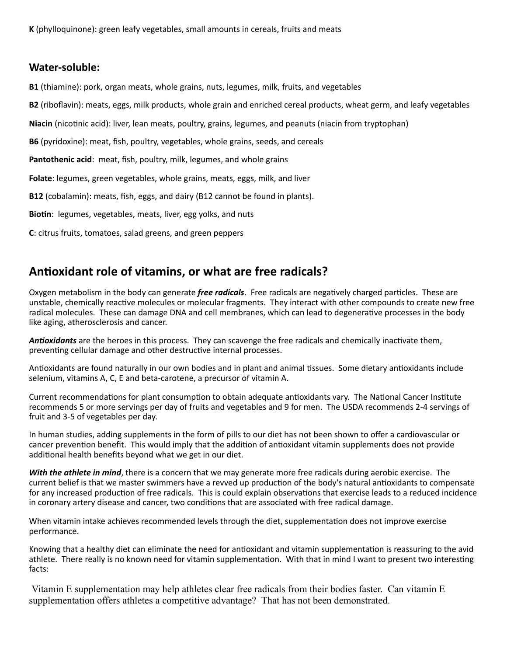#### **Water-soluble:**

**B1** (thiamine): pork, organ meats, whole grains, nuts, legumes, milk, fruits, and vegetables

**B2** (riboflavin): meats, eggs, milk products, whole grain and enriched cereal products, wheat germ, and leafy vegetables

Niacin (nicotinic acid): liver, lean meats, poultry, grains, legumes, and peanuts (niacin from tryptophan)

**B6** (pyridoxine): meat, fish, poultry, vegetables, whole grains, seeds, and cereals

**Pantothenic acid**: meat, fish, poultry, milk, legumes, and whole grains

**Folate**: legumes, green vegetables, whole grains, meats, eggs, milk, and liver

**B12** (cobalamin): meats, fish, eggs, and dairy (B12 cannot be found in plants).

Biotin: legumes, vegetables, meats, liver, egg yolks, and nuts

**C**: citrus fruits, tomatoes, salad greens, and green peppers

### **Anoxidant role of vitamins, or what are free radicals?**

Oxygen metabolism in the body can generate *free radicals*. Free radicals are negatively charged particles. These are unstable, chemically reactive molecules or molecular fragments. They interact with other compounds to create new free radical molecules. These can damage DNA and cell membranes, which can lead to degenerative processes in the body like aging, atherosclerosis and cancer.

Antioxidants are the heroes in this process. They can scavenge the free radicals and chemically inactivate them, preventing cellular damage and other destructive internal processes.

Antioxidants are found naturally in our own bodies and in plant and animal tissues. Some dietary antioxidants include selenium, vitamins A, C, E and beta-carotene, a precursor of vitamin A.

Current recommendations for plant consumption to obtain adequate antioxidants vary. The National Cancer Institute recommends 5 or more servings per day of fruits and vegetables and 9 for men. The USDA recommends 2-4 servings of fruit and 3-5 of vegetables per day.

In human studies, adding supplements in the form of pills to our diet has not been shown to offer a cardiovascular or cancer prevention benefit. This would imply that the addition of antioxidant vitamin supplements does not provide additional health benefits beyond what we get in our diet.

*With the athlete in mind*, there is a concern that we may generate more free radicals during aerobic exercise. The current belief is that we master swimmers have a revved up production of the body's natural antioxidants to compensate for any increased production of free radicals. This is could explain observations that exercise leads to a reduced incidence in coronary artery disease and cancer, two conditions that are associated with free radical damage.

When vitamin intake achieves recommended levels through the diet, supplementation does not improve exercise performance.

Knowing that a healthy diet can eliminate the need for antioxidant and vitamin supplementation is reassuring to the avid athlete. There really is no known need for vitamin supplementation. With that in mind I want to present two interesting facts:

Vitamin E supplementation may help athletes clear free radicals from their bodies faster. Can vitamin E supplementation offers athletes a competitive advantage? That has not been demonstrated.